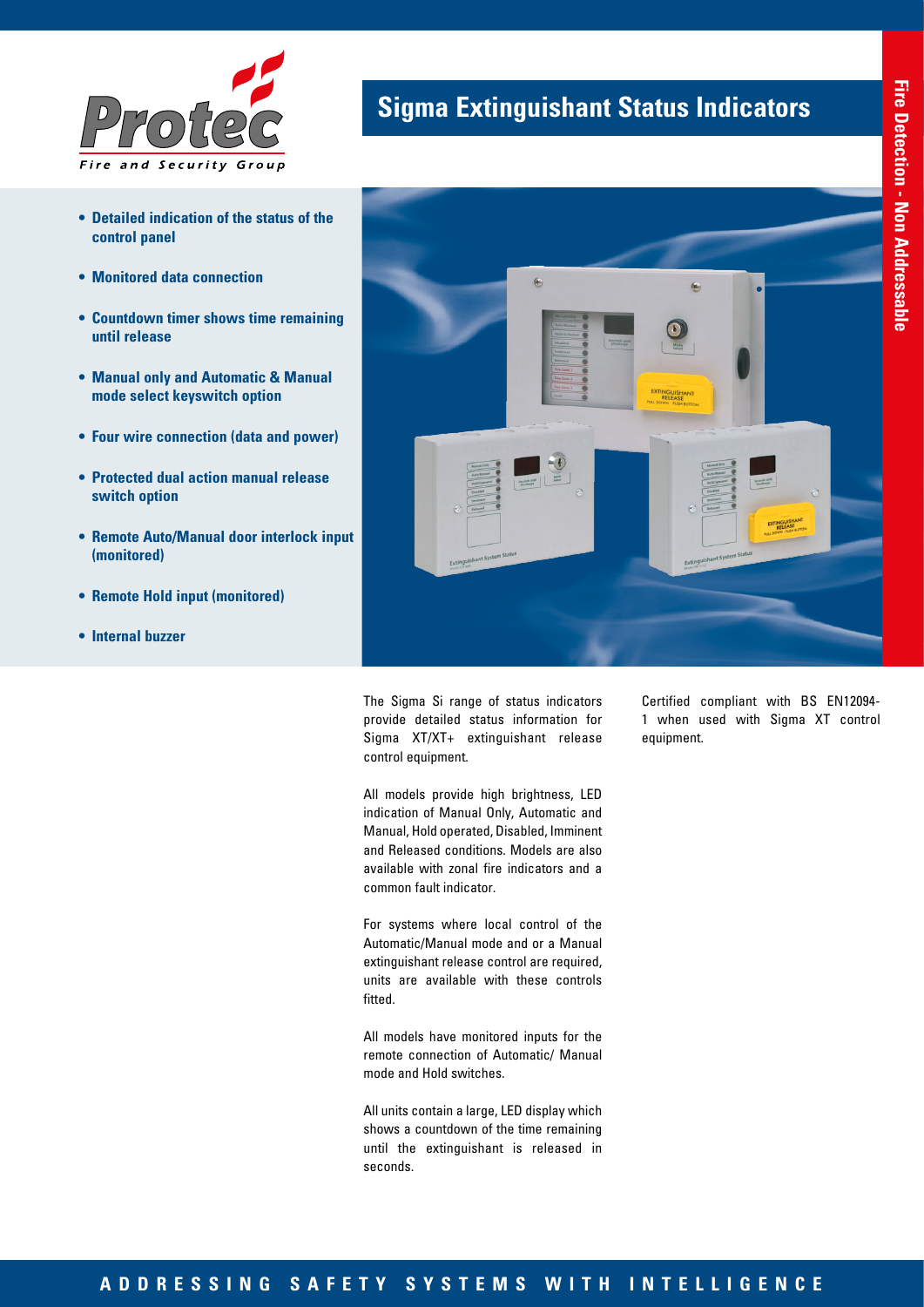

- **• Detailed indication of the status of the control panel**
- **• Monitored data connection**
- **• Countdown timer shows time remaining until release**
- **• Manual only and Automatic & Manual mode select keyswitch option**
- **• Four wire connection (data and power)**
- **• Protected dual action manual release switch option**
- **• Remote Auto/Manual door interlock input (monitored)**
- **• Remote Hold input (monitored)**
- **• Internal buzzer**

## **Sigma Extinguishant Status Indicators**



The Sigma Si range of status indicators provide detailed status information for Sigma XT/XT+ extinguishant release control equipment.

All models provide high brightness, LED indication of Manual Only, Automatic and Manual, Hold operated, Disabled, Imminent and Released conditions. Models are also available with zonal fire indicators and a common fault indicator.

For systems where local control of the Automatic/Manual mode and or a Manual extinguishant release control are required, units are available with these controls fitted.

All models have monitored inputs for the remote connection of Automatic/ Manual mode and Hold switches.

All units contain a large, LED display which shows a countdown of the time remaining until the extinguishant is released in seconds.

Certified compliant with BS EN12094- 1 when used with Sigma XT control equipment.